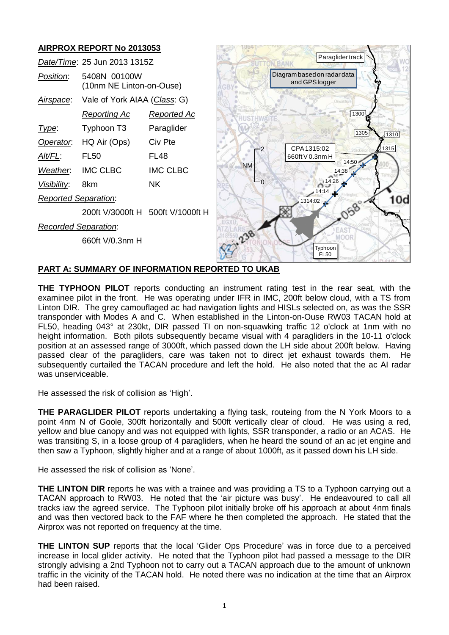# **AIRPROX REPORT No 2013053**

| AIRPRUA REPURT NO 2013033    |                                          |                    |                                               |
|------------------------------|------------------------------------------|--------------------|-----------------------------------------------|
| Date/Time: 25 Jun 2013 1315Z |                                          |                    | Paraglider track                              |
| Position:                    | 5408N 00100W<br>(10nm NE Linton-on-Ouse) |                    | Diagram based on radar data<br>and GPS logger |
| Airspace:                    | Vale of York AIAA (Class: G)             |                    | Oswaldkir                                     |
|                              | <b>Reporting Ac</b>                      | <b>Reported Ac</b> | 1300                                          |
| Type:                        | Typhoon T3                               | Paraglider         | 1305<br>1310                                  |
| Operator.                    | HQ Air (Ops)                             | Civ Pte            | 1315<br>CPA1315:02                            |
| Alt/FL:                      | <b>FL50</b>                              | <b>FL48</b>        | 660ft V 0.3nm H<br>14:50                      |
| Weather.                     | <b>IMC CLBC</b>                          | <b>IMC CLBC</b>    | <b>NM</b><br>4:38                             |
| Visibility:                  | 8km                                      | NK.                | $-0$<br>14:14                                 |
| <b>Reported Separation:</b>  |                                          |                    | 10d<br>1314:02                                |
|                              | 200ft V/3000ft H 500ft V/1000ft H        |                    |                                               |
| <b>Recorded Separation:</b>  |                                          |                    |                                               |
|                              | 660ft V/0.3nm H                          |                    | 238<br>MOOR                                   |
|                              |                                          |                    | Typhoon<br><b>FL50</b>                        |

### **PART A: SUMMARY OF INFORMATION REPORTED TO UKAB**

**THE TYPHOON PILOT** reports conducting an instrument rating test in the rear seat, with the examinee pilot in the front. He was operating under IFR in IMC, 200ft below cloud, with a TS from Linton DIR. The grey camouflaged ac had navigation lights and HISLs selected on, as was the SSR transponder with Modes A and C. When established in the Linton-on-Ouse RW03 TACAN hold at FL50, heading 043° at 230kt, DIR passed TI on non-squawking traffic 12 o'clock at 1nm with no height information. Both pilots subsequently became visual with 4 paragliders in the 10-11 o'clock position at an assessed range of 3000ft, which passed down the LH side about 200ft below. Having passed clear of the paragliders, care was taken not to direct jet exhaust towards them. He subsequently curtailed the TACAN procedure and left the hold. He also noted that the ac AI radar was unserviceable.

He assessed the risk of collision as 'High'.

**THE PARAGLIDER PILOT** reports undertaking a flying task, routeing from the N York Moors to a point 4nm N of Goole, 300ft horizontally and 500ft vertically clear of cloud. He was using a red, yellow and blue canopy and was not equipped with lights, SSR transponder, a radio or an ACAS. He was transiting S, in a loose group of 4 paragliders, when he heard the sound of an ac jet engine and then saw a Typhoon, slightly higher and at a range of about 1000ft, as it passed down his LH side.

He assessed the risk of collision as 'None'.

**THE LINTON DIR** reports he was with a trainee and was providing a TS to a Typhoon carrying out a TACAN approach to RW03. He noted that the 'air picture was busy'. He endeavoured to call all tracks iaw the agreed service. The Typhoon pilot initially broke off his approach at about 4nm finals and was then vectored back to the FAF where he then completed the approach. He stated that the Airprox was not reported on frequency at the time.

**THE LINTON SUP** reports that the local 'Glider Ops Procedure' was in force due to a perceived increase in local glider activity. He noted that the Typhoon pilot had passed a message to the DIR strongly advising a 2nd Typhoon not to carry out a TACAN approach due to the amount of unknown traffic in the vicinity of the TACAN hold. He noted there was no indication at the time that an Airprox had been raised.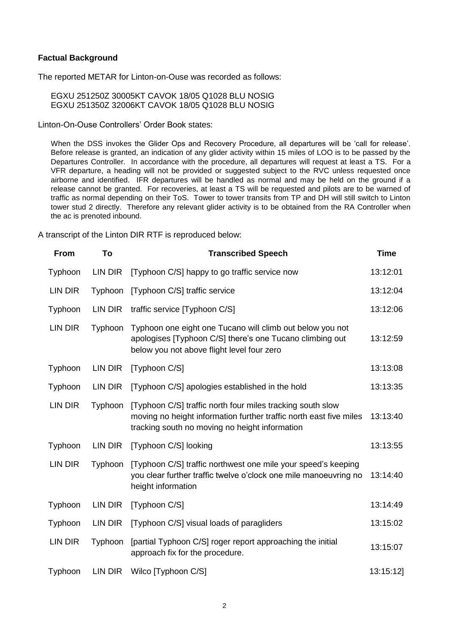#### **Factual Background**

The reported METAR for Linton-on-Ouse was recorded as follows:

EGXU 251250Z 30005KT CAVOK 18/05 Q1028 BLU NOSIG EGXU 251350Z 32006KT CAVOK 18/05 Q1028 BLU NOSIG

Linton-On-Ouse Controllers' Order Book states:

When the DSS invokes the Glider Ops and Recovery Procedure, all departures will be 'call for release'. Before release is granted, an indication of any glider activity within 15 miles of LOO is to be passed by the Departures Controller. In accordance with the procedure, all departures will request at least a TS. For a VFR departure, a heading will not be provided or suggested subject to the RVC unless requested once airborne and identified. IFR departures will be handled as normal and may be held on the ground if a release cannot be granted. For recoveries, at least a TS will be requested and pilots are to be warned of traffic as normal depending on their ToS. Tower to tower transits from TP and DH will still switch to Linton tower stud 2 directly. Therefore any relevant glider activity is to be obtained from the RA Controller when the ac is prenoted inbound.

A transcript of the Linton DIR RTF is reproduced below:

| <b>From</b> | To      | <b>Transcribed Speech</b>                                                                                                                                                          | <b>Time</b> |
|-------------|---------|------------------------------------------------------------------------------------------------------------------------------------------------------------------------------------|-------------|
| Typhoon     | LIN DIR | [Typhoon C/S] happy to go traffic service now                                                                                                                                      | 13:12:01    |
| LIN DIR     | Typhoon | [Typhoon C/S] traffic service                                                                                                                                                      | 13:12:04    |
| Typhoon     | LIN DIR | traffic service [Typhoon C/S]                                                                                                                                                      | 13:12:06    |
| LIN DIR     | Typhoon | Typhoon one eight one Tucano will climb out below you not<br>apologises [Typhoon C/S] there's one Tucano climbing out<br>below you not above flight level four zero                | 13:12:59    |
| Typhoon     | LIN DIR | [Typhoon C/S]                                                                                                                                                                      | 13:13:08    |
| Typhoon     | LIN DIR | [Typhoon C/S] apologies established in the hold                                                                                                                                    | 13:13:35    |
| LIN DIR     | Typhoon | [Typhoon C/S] traffic north four miles tracking south slow<br>moving no height information further traffic north east five miles<br>tracking south no moving no height information | 13:13:40    |
| Typhoon     | LIN DIR | [Typhoon C/S] looking                                                                                                                                                              | 13:13:55    |
| LIN DIR     | Typhoon | [Typhoon C/S] traffic northwest one mile your speed's keeping<br>you clear further traffic twelve o'clock one mile manoeuvring no<br>height information                            | 13:14:40    |
| Typhoon     | LIN DIR | [Typhoon C/S]                                                                                                                                                                      | 13:14:49    |
| Typhoon     | LIN DIR | [Typhoon C/S] visual loads of paragliders                                                                                                                                          | 13:15:02    |
| LIN DIR     | Typhoon | [partial Typhoon C/S] roger report approaching the initial<br>approach fix for the procedure.                                                                                      | 13:15:07    |
| Typhoon     | LIN DIR | Wilco [Typhoon C/S]                                                                                                                                                                | 13:15:12]   |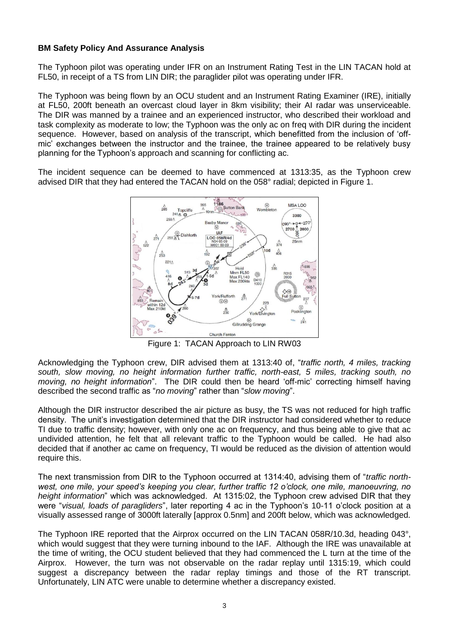## **BM Safety Policy And Assurance Analysis**

The Typhoon pilot was operating under IFR on an Instrument Rating Test in the LIN TACAN hold at FL50, in receipt of a TS from LIN DIR; the paraglider pilot was operating under IFR.

The Typhoon was being flown by an OCU student and an Instrument Rating Examiner (IRE), initially at FL50, 200ft beneath an overcast cloud layer in 8km visibility; their AI radar was unserviceable. The DIR was manned by a trainee and an experienced instructor, who described their workload and task complexity as moderate to low; the Typhoon was the only ac on freq with DIR during the incident sequence. However, based on analysis of the transcript, which benefitted from the inclusion of 'offmic' exchanges between the instructor and the trainee, the trainee appeared to be relatively busy planning for the Typhoon's approach and scanning for conflicting ac.

The incident sequence can be deemed to have commenced at 1313:35, as the Typhoon crew advised DIR that they had entered the TACAN hold on the 058° radial; depicted in Figure 1.



Figure 1: TACAN Approach to LIN RW03

Acknowledging the Typhoon crew, DIR advised them at 1313:40 of, "*traffic north, 4 miles, tracking south, slow moving, no height information further traffic, north-east, 5 miles, tracking south, no moving, no height information*". The DIR could then be heard 'off-mic' correcting himself having described the second traffic as "*no moving*" rather than "*slow moving*".

Although the DIR instructor described the air picture as busy, the TS was not reduced for high traffic density. The unit's investigation determined that the DIR instructor had considered whether to reduce TI due to traffic density; however, with only one ac on frequency, and thus being able to give that ac undivided attention, he felt that all relevant traffic to the Typhoon would be called. He had also decided that if another ac came on frequency, TI would be reduced as the division of attention would require this.

The next transmission from DIR to the Typhoon occurred at 1314:40, advising them of "*traffic northwest, one mile, your speed's keeping you clear, further traffic 12 o'clock, one mile, manoeuvring, no height information*" which was acknowledged. At 1315:02, the Typhoon crew advised DIR that they were "*visual, loads of paragliders*", later reporting 4 ac in the Typhoon's 10-11 o'clock position at a visually assessed range of 3000ft laterally [approx 0.5nm] and 200ft below, which was acknowledged.

The Typhoon IRE reported that the Airprox occurred on the LIN TACAN 058R/10.3d, heading 043°, which would suggest that they were turning inbound to the IAF. Although the IRE was unavailable at the time of writing, the OCU student believed that they had commenced the L turn at the time of the Airprox. However, the turn was not observable on the radar replay until 1315:19, which could suggest a discrepancy between the radar replay timings and those of the RT transcript. Unfortunately, LIN ATC were unable to determine whether a discrepancy existed.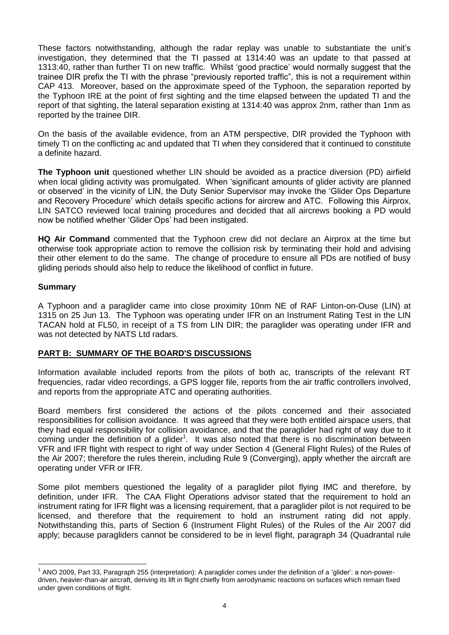These factors notwithstanding, although the radar replay was unable to substantiate the unit's investigation, they determined that the TI passed at 1314:40 was an update to that passed at 1313:40, rather than further TI on new traffic. Whilst 'good practice' would normally suggest that the trainee DIR prefix the TI with the phrase "previously reported traffic", this is not a requirement within CAP 413. Moreover, based on the approximate speed of the Typhoon, the separation reported by the Typhoon IRE at the point of first sighting and the time elapsed between the updated TI and the report of that sighting, the lateral separation existing at 1314:40 was approx 2nm, rather than 1nm as reported by the trainee DIR.

On the basis of the available evidence, from an ATM perspective, DIR provided the Typhoon with timely TI on the conflicting ac and updated that TI when they considered that it continued to constitute a definite hazard.

**The Typhoon unit** questioned whether LIN should be avoided as a practice diversion (PD) airfield when local gliding activity was promulgated. When 'significant amounts of glider activity are planned or observed' in the vicinity of LIN, the Duty Senior Supervisor may invoke the 'Glider Ops Departure and Recovery Procedure' which details specific actions for aircrew and ATC. Following this Airprox, LIN SATCO reviewed local training procedures and decided that all aircrews booking a PD would now be notified whether 'Glider Ops' had been instigated.

**HQ Air Command** commented that the Typhoon crew did not declare an Airprox at the time but otherwise took appropriate action to remove the collision risk by terminating their hold and advising their other element to do the same. The change of procedure to ensure all PDs are notified of busy gliding periods should also help to reduce the likelihood of conflict in future.

### **Summary**

 $\overline{a}$ 

A Typhoon and a paraglider came into close proximity 10nm NE of RAF Linton-on-Ouse (LIN) at 1315 on 25 Jun 13. The Typhoon was operating under IFR on an Instrument Rating Test in the LIN TACAN hold at FL50, in receipt of a TS from LIN DIR; the paraglider was operating under IFR and was not detected by NATS Ltd radars.

## **PART B: SUMMARY OF THE BOARD'S DISCUSSIONS**

Information available included reports from the pilots of both ac, transcripts of the relevant RT frequencies, radar video recordings, a GPS logger file, reports from the air traffic controllers involved, and reports from the appropriate ATC and operating authorities.

Board members first considered the actions of the pilots concerned and their associated responsibilities for collision avoidance. It was agreed that they were both entitled airspace users, that they had equal responsibility for collision avoidance, and that the paraglider had right of way due to it coming under the definition of a glider<sup>1</sup>. It was also noted that there is no discrimination between VFR and IFR flight with respect to right of way under Section 4 (General Flight Rules) of the Rules of the Air 2007; therefore the rules therein, including Rule 9 (Converging), apply whether the aircraft are operating under VFR or IFR.

Some pilot members questioned the legality of a paraglider pilot flying IMC and therefore, by definition, under IFR. The CAA Flight Operations advisor stated that the requirement to hold an instrument rating for IFR flight was a licensing requirement, that a paraglider pilot is not required to be licensed, and therefore that the requirement to hold an instrument rating did not apply. Notwithstanding this, parts of Section 6 (Instrument Flight Rules) of the Rules of the Air 2007 did apply; because paragliders cannot be considered to be in level flight, paragraph 34 (Quadrantal rule

 $^1$  ANO 2009, Part 33, Paragraph 255 (interpretation): A paraglider comes under the definition of a 'glider': a non-powerdriven, heavier-than-air aircraft, deriving its lift in flight chiefly from aerodynamic reactions on surfaces which remain fixed under given conditions of flight.